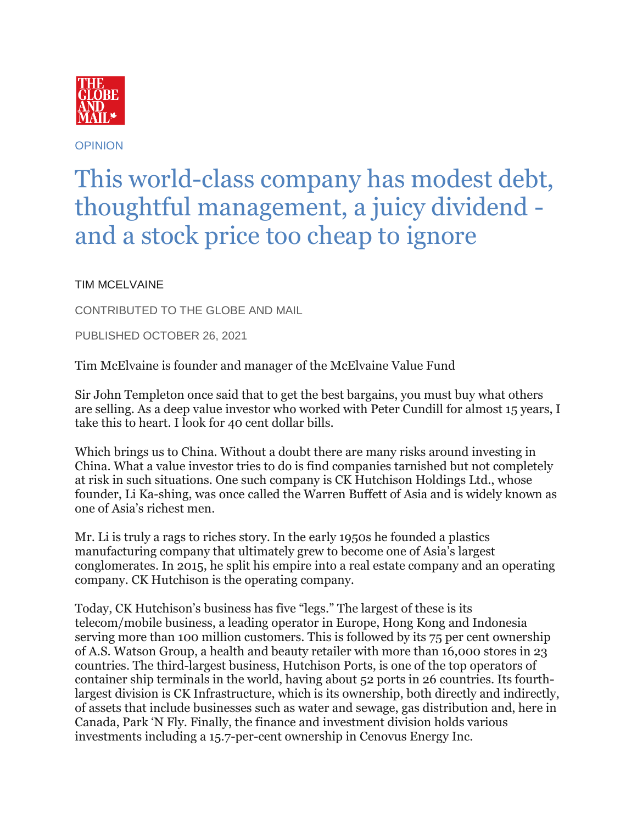

**OPINION** 

## This world-class company has modest debt, thoughtful management, a juicy dividend and a stock price too cheap to ignore

TIM MCELVAINE

CONTRIBUTED TO THE GLOBE AND MAIL

PUBLISHED OCTOBER 26, 2021

Tim McElvaine is founder and manager of the McElvaine Value Fund

Sir John Templeton once said that to get the best bargains, you must buy what others are selling. As a deep value investor who worked with Peter Cundill for almost 15 years, I take this to heart. I look for 40 cent dollar bills.

Which brings us to China. Without a doubt there are many risks around investing in China. What a value investor tries to do is find companies tarnished but not completely at risk in such situations. One such company is CK Hutchison Holdings Ltd., whose founder, Li Ka-shing, was once called the Warren Buffett of Asia and is widely known as one of Asia's richest men.

Mr. Li is truly a rags to riches story. In the early 1950s he founded a plastics manufacturing company that ultimately grew to become one of Asia's largest conglomerates. In 2015, he split his empire into a real estate company and an operating company. CK Hutchison is the operating company.

Today, CK Hutchison's business has five "legs." The largest of these is its telecom/mobile business, a leading operator in Europe, Hong Kong and Indonesia serving more than 100 million customers. This is followed by its 75 per cent ownership of A.S. Watson Group, a health and beauty retailer with more than 16,000 stores in 23 countries. The third-largest business, Hutchison Ports, is one of the top operators of container ship terminals in the world, having about 52 ports in 26 countries. Its fourthlargest division is CK Infrastructure, which is its ownership, both directly and indirectly, of assets that include businesses such as water and sewage, gas distribution and, here in Canada, Park 'N Fly. Finally, the finance and investment division holds various investments including a 15.7-per-cent ownership in Cenovus Energy Inc.